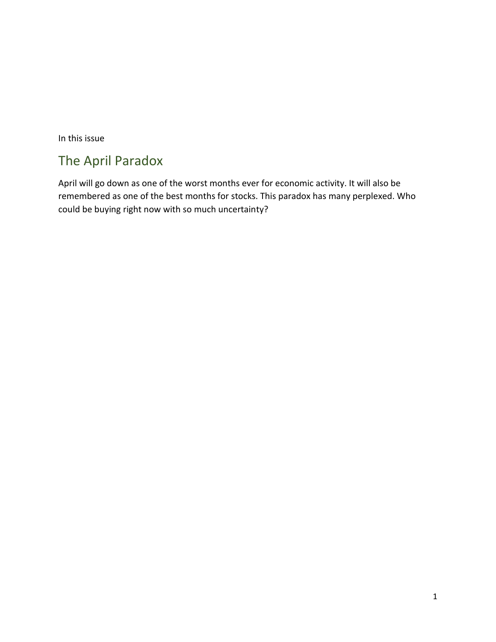In this issue

# The April Paradox

April will go down as one of the worst months ever for economic activity. It will also be remembered as one of the best months for stocks. This paradox has many perplexed. Who could be buying right now with so much uncertainty?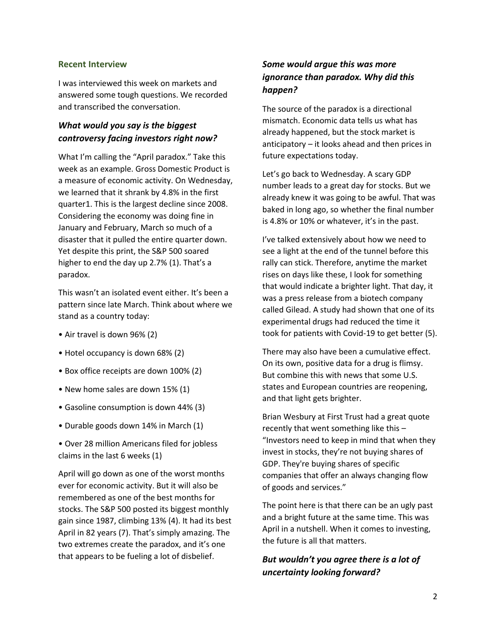### **Recent Interview**

I was interviewed this week on markets and answered some tough questions. We recorded and transcribed the conversation.

# *What would you say is the biggest controversy facing investors right now?*

What I'm calling the "April paradox." Take this week as an example. Gross Domestic Product is a measure of economic activity. On Wednesday, we learned that it shrank by 4.8% in the first quarter1. This is the largest decline since 2008. Considering the economy was doing fine in January and February, March so much of a disaster that it pulled the entire quarter down. Yet despite this print, the S&P 500 soared higher to end the day up 2.7% (1). That's a paradox.

This wasn't an isolated event either. It's been a pattern since late March. Think about where we stand as a country today:

- Air travel is down 96% (2)
- Hotel occupancy is down 68% (2)
- Box office receipts are down 100% (2)
- New home sales are down 15% (1)
- Gasoline consumption is down 44% (3)
- Durable goods down 14% in March (1)
- Over 28 million Americans filed for jobless claims in the last 6 weeks (1)

April will go down as one of the worst months ever for economic activity. But it will also be remembered as one of the best months for stocks. The S&P 500 posted its biggest monthly gain since 1987, climbing 13% (4). It had its best April in 82 years (7). That's simply amazing. The two extremes create the paradox, and it's one that appears to be fueling a lot of disbelief.

# *Some would argue this was more ignorance than paradox. Why did this happen?*

The source of the paradox is a directional mismatch. Economic data tells us what has already happened, but the stock market is anticipatory – it looks ahead and then prices in future expectations today.

Let's go back to Wednesday. A scary GDP number leads to a great day for stocks. But we already knew it was going to be awful. That was baked in long ago, so whether the final number is 4.8% or 10% or whatever, it's in the past.

I've talked extensively about how we need to see a light at the end of the tunnel before this rally can stick. Therefore, anytime the market rises on days like these, I look for something that would indicate a brighter light. That day, it was a press release from a biotech company called Gilead. A study had shown that one of its experimental drugs had reduced the time it took for patients with Covid-19 to get better (5).

There may also have been a cumulative effect. On its own, positive data for a drug is flimsy. But combine this with news that some U.S. states and European countries are reopening, and that light gets brighter.

Brian Wesbury at First Trust had a great quote recently that went something like this – "Investors need to keep in mind that when they invest in stocks, they're not buying shares of GDP. They're buying shares of specific companies that offer an always changing flow of goods and services."

The point here is that there can be an ugly past and a bright future at the same time. This was April in a nutshell. When it comes to investing, the future is all that matters.

# *But wouldn't you agree there is a lot of uncertainty looking forward?*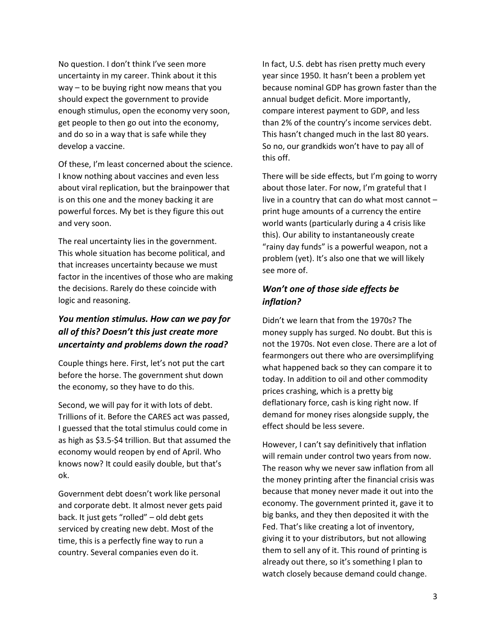No question. I don't think I've seen more uncertainty in my career. Think about it this way – to be buying right now means that you should expect the government to provide enough stimulus, open the economy very soon, get people to then go out into the economy, and do so in a way that is safe while they develop a vaccine.

Of these, I'm least concerned about the science. I know nothing about vaccines and even less about viral replication, but the brainpower that is on this one and the money backing it are powerful forces. My bet is they figure this out and very soon.

The real uncertainty lies in the government. This whole situation has become political, and that increases uncertainty because we must factor in the incentives of those who are making the decisions. Rarely do these coincide with logic and reasoning.

# *You mention stimulus. How can we pay for all of this? Doesn't this just create more uncertainty and problems down the road?*

Couple things here. First, let's not put the cart before the horse. The government shut down the economy, so they have to do this.

Second, we will pay for it with lots of debt. Trillions of it. Before the CARES act was passed, I guessed that the total stimulus could come in as high as \$3.5-\$4 trillion. But that assumed the economy would reopen by end of April. Who knows now? It could easily double, but that's ok.

Government debt doesn't work like personal and corporate debt. It almost never gets paid back. It just gets "rolled" – old debt gets serviced by creating new debt. Most of the time, this is a perfectly fine way to run a country. Several companies even do it.

In fact, U.S. debt has risen pretty much every year since 1950. It hasn't been a problem yet because nominal GDP has grown faster than the annual budget deficit. More importantly, compare interest payment to GDP, and less than 2% of the country's income services debt. This hasn't changed much in the last 80 years. So no, our grandkids won't have to pay all of this off.

There will be side effects, but I'm going to worry about those later. For now, I'm grateful that I live in a country that can do what most cannot – print huge amounts of a currency the entire world wants (particularly during a 4 crisis like this). Our ability to instantaneously create "rainy day funds" is a powerful weapon, not a problem (yet). It's also one that we will likely see more of.

# *Won't one of those side effects be inflation?*

Didn't we learn that from the 1970s? The money supply has surged. No doubt. But this is not the 1970s. Not even close. There are a lot of fearmongers out there who are oversimplifying what happened back so they can compare it to today. In addition to oil and other commodity prices crashing, which is a pretty big deflationary force, cash is king right now. If demand for money rises alongside supply, the effect should be less severe.

However, I can't say definitively that inflation will remain under control two years from now. The reason why we never saw inflation from all the money printing after the financial crisis was because that money never made it out into the economy. The government printed it, gave it to big banks, and they then deposited it with the Fed. That's like creating a lot of inventory, giving it to your distributors, but not allowing them to sell any of it. This round of printing is already out there, so it's something I plan to watch closely because demand could change.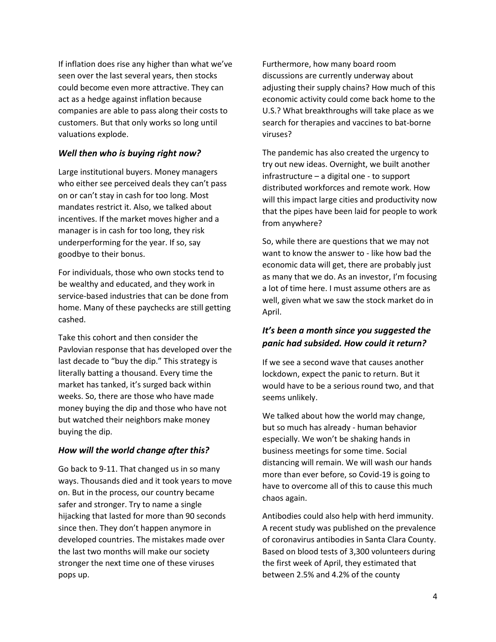If inflation does rise any higher than what we've seen over the last several years, then stocks could become even more attractive. They can act as a hedge against inflation because companies are able to pass along their costs to customers. But that only works so long until valuations explode.

## *Well then who is buying right now?*

Large institutional buyers. Money managers who either see perceived deals they can't pass on or can't stay in cash for too long. Most mandates restrict it. Also, we talked about incentives. If the market moves higher and a manager is in cash for too long, they risk underperforming for the year. If so, say goodbye to their bonus.

For individuals, those who own stocks tend to be wealthy and educated, and they work in service-based industries that can be done from home. Many of these paychecks are still getting cashed.

Take this cohort and then consider the Pavlovian response that has developed over the last decade to "buy the dip." This strategy is literally batting a thousand. Every time the market has tanked, it's surged back within weeks. So, there are those who have made money buying the dip and those who have not but watched their neighbors make money buying the dip.

## *How will the world change after this?*

Go back to 9-11. That changed us in so many ways. Thousands died and it took years to move on. But in the process, our country became safer and stronger. Try to name a single hijacking that lasted for more than 90 seconds since then. They don't happen anymore in developed countries. The mistakes made over the last two months will make our society stronger the next time one of these viruses pops up.

Furthermore, how many board room discussions are currently underway about adjusting their supply chains? How much of this economic activity could come back home to the U.S.? What breakthroughs will take place as we search for therapies and vaccines to bat-borne viruses?

The pandemic has also created the urgency to try out new ideas. Overnight, we built another infrastructure – a digital one - to support distributed workforces and remote work. How will this impact large cities and productivity now that the pipes have been laid for people to work from anywhere?

So, while there are questions that we may not want to know the answer to - like how bad the economic data will get, there are probably just as many that we do. As an investor, I'm focusing a lot of time here. I must assume others are as well, given what we saw the stock market do in April.

# *It's been a month since you suggested the panic had subsided. How could it return?*

If we see a second wave that causes another lockdown, expect the panic to return. But it would have to be a serious round two, and that seems unlikely.

We talked about how the world may change, but so much has already - human behavior especially. We won't be shaking hands in business meetings for some time. Social distancing will remain. We will wash our hands more than ever before, so Covid-19 is going to have to overcome all of this to cause this much chaos again.

Antibodies could also help with herd immunity. A recent study was published on the prevalence of coronavirus antibodies in Santa Clara County. Based on blood tests of 3,300 volunteers during the first week of April, they estimated that between 2.5% and 4.2% of the county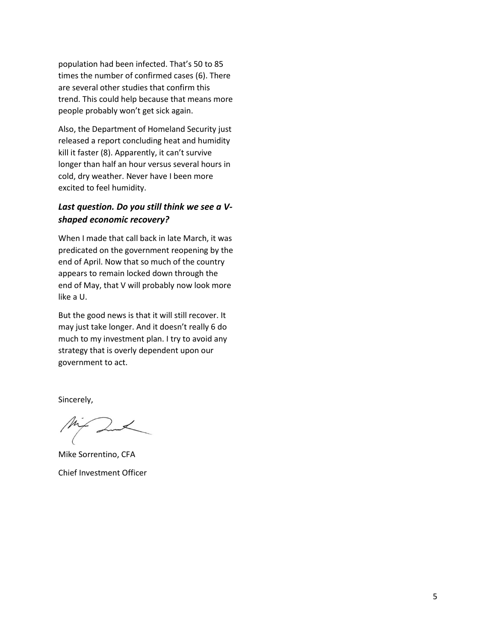population had been infected. That's 50 to 85 times the number of confirmed cases (6). There are several other studies that confirm this trend. This could help because that means more people probably won't get sick again.

Also, the Department of Homeland Security just released a report concluding heat and humidity kill it faster (8). Apparently, it can't survive longer than half an hour versus several hours in cold, dry weather. Never have I been more excited to feel humidity.

# *Last question. Do you still think we see a Vshaped economic recovery?*

When I made that call back in late March, it was predicated on the government reopening by the end of April. Now that so much of the country appears to remain locked down through the end of May, that V will probably now look more like a U.

But the good news is that it will still recover. It may just take longer. And it doesn't really 6 do much to my investment plan. I try to avoid any strategy that is overly dependent upon our government to act.

Sincerely,

Mike Sorrentino, CFA Chief Investment Officer